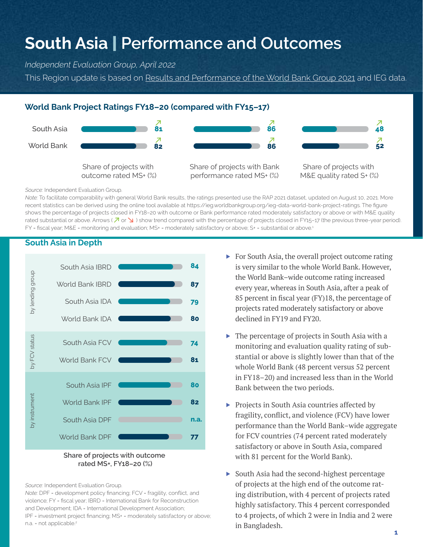# **South Asia** | **Performance and Outcomes**

*Independent Evaluation Group, April 2022*

This Region update is based on [Results and Performance of the World Bank Group 2021](https://ieg.worldbankgroup.org/evaluations/results-and-performance-world-bank-group-2021) and IEG data.

## **World Bank Project Ratings FY18–20 (compared with FY15–17)**



*Source:* Independent Evaluation Group.

*Note:* To facilitate comparability with general World Bank results, the ratings presented use the RAP 2021 dataset, updated on August 10, 2021. More recent statistics can be derived using the online tool available at https://ieg.worldbankgroup.org/ieg-data-world-bank-project-ratings. The figure shows the percentage of projects closed in FY18–20 with outcome or Bank performance rated moderately satisfactory or above or with M&E quality rated substantial or above. Arrows ( $\overline{A}$  or  $\overline{B}$ ) show trend compared with the percentage of projects closed in FY15-17 (the previous three-year period). FY = fiscal year; M&E = monitoring and evaluation; MS+ = moderately satisfactory or above; S+ = substantial or above.<sup>1</sup>

## **South Asia in Depth**



#### **Share of projects with outcome rated MS+, FY18–20 (%)**

*Source:* Independent Evaluation Group.

*Note:* DPF = development policy financing; FCV = fragility, conflict, and violence; FY = fiscal year; IBRD = International Bank for Reconstruction and Development; IDA = International Development Association; IPF = investment project financing; MS+ = moderately satisfactory or above; n.a. = not applicable.<sup>2</sup>

- ▶ For South Asia, the overall project outcome rating is very similar to the whole World Bank. However, the World Bank–wide outcome rating increased every year, whereas in South Asia, after a peak of 85 percent in fiscal year (FY)18, the percentage of projects rated moderately satisfactory or above declined in FY19 and FY20.
- $\triangleright$  The percentage of projects in South Asia with a monitoring and evaluation quality rating of substantial or above is slightly lower than that of the whole World Bank (48 percent versus 52 percent in FY18–20) and increased less than in the World Bank between the two periods.
- ▶ Projects in South Asia countries affected by fragility, conflict, and violence (FCV) have lower performance than the World Bank–wide aggregate for FCV countries (74 percent rated moderately satisfactory or above in South Asia, compared with 81 percent for the World Bank).
- ▶ South Asia had the second-highest percentage of projects at the high end of the outcome rating distribution, with 4 percent of projects rated highly satisfactory. This 4 percent corresponded to 4 projects, of which 2 were in India and 2 were in Bangladesh.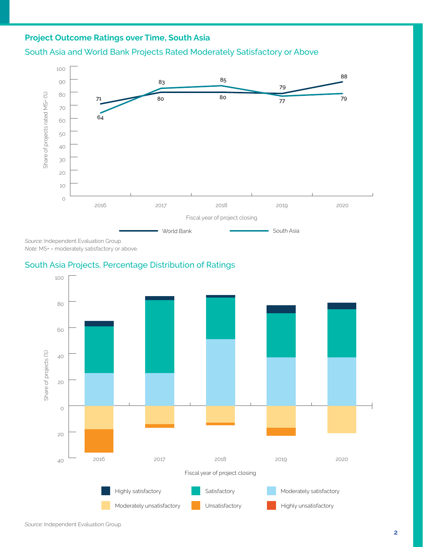# **Project Outcome Ratings over Time, South Asia**





*Source:* Independent Evaluation Group.

*Note:* MS+ = moderately satisfactory or above.

# South Asia Projects, Percentage Distribution of Ratings